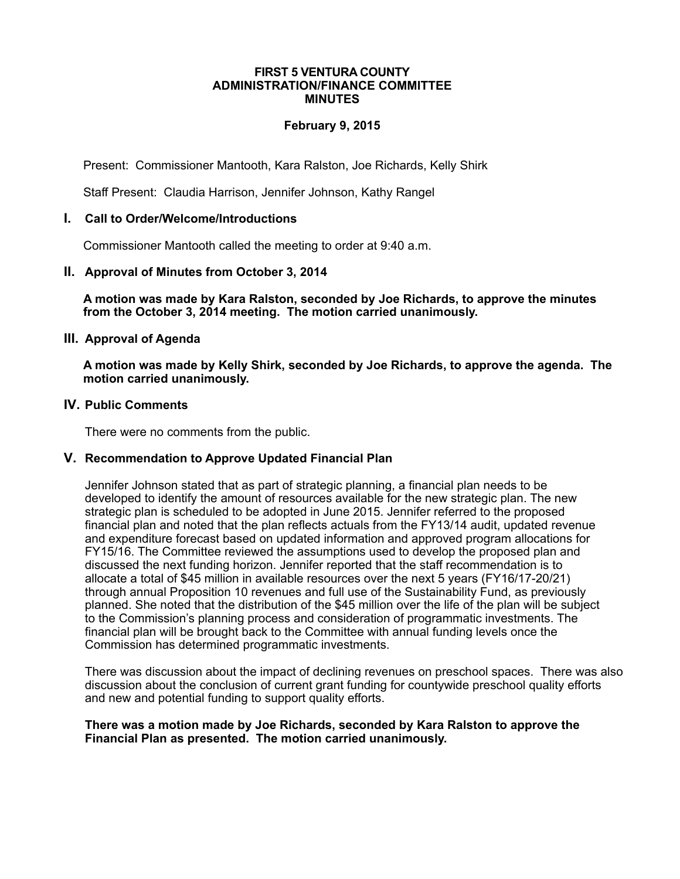#### **FIRST 5 VENTURA COUNTY ADMINISTRATION/FINANCE COMMITTEE MINUTES**

## **February 9, 2015**

Present: Commissioner Mantooth, Kara Ralston, Joe Richards, Kelly Shirk

Staff Present: Claudia Harrison, Jennifer Johnson, Kathy Rangel

### **I. Call to Order/Welcome/Introductions**

Commissioner Mantooth called the meeting to order at 9:40 a.m.

### **II. Approval of Minutes from October 3, 2014**

**A motion was made by Kara Ralston, seconded by Joe Richards, to approve the minutes from the October 3, 2014 meeting. The motion carried unanimously.**

### **III. Approval of Agenda**

**A motion was made by Kelly Shirk, seconded by Joe Richards, to approve the agenda. The motion carried unanimously.** 

#### **IV. Public Comments**

There were no comments from the public.

#### **V. Recommendation to Approve Updated Financial Plan**

Jennifer Johnson stated that as part of strategic planning, a financial plan needs to be developed to identify the amount of resources available for the new strategic plan. The new strategic plan is scheduled to be adopted in June 2015. Jennifer referred to the proposed financial plan and noted that the plan reflects actuals from the FY13/14 audit, updated revenue and expenditure forecast based on updated information and approved program allocations for FY15/16. The Committee reviewed the assumptions used to develop the proposed plan and discussed the next funding horizon. Jennifer reported that the staff recommendation is to allocate a total of \$45 million in available resources over the next 5 years (FY16/17-20/21) through annual Proposition 10 revenues and full use of the Sustainability Fund, as previously planned. She noted that the distribution of the \$45 million over the life of the plan will be subject to the Commission's planning process and consideration of programmatic investments. The financial plan will be brought back to the Committee with annual funding levels once the Commission has determined programmatic investments.

There was discussion about the impact of declining revenues on preschool spaces. There was also discussion about the conclusion of current grant funding for countywide preschool quality efforts and new and potential funding to support quality efforts.

#### **There was a motion made by Joe Richards, seconded by Kara Ralston to approve the Financial Plan as presented. The motion carried unanimously.**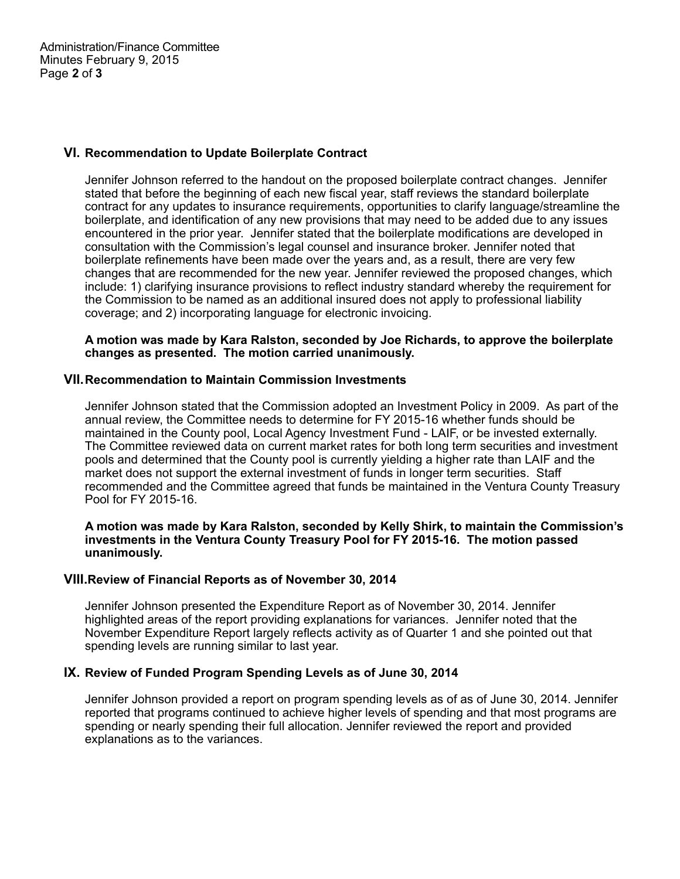## **VI. Recommendation to Update Boilerplate Contract**

Jennifer Johnson referred to the handout on the proposed boilerplate contract changes. Jennifer stated that before the beginning of each new fiscal year, staff reviews the standard boilerplate contract for any updates to insurance requirements, opportunities to clarify language/streamline the boilerplate, and identification of any new provisions that may need to be added due to any issues encountered in the prior year. Jennifer stated that the boilerplate modifications are developed in consultation with the Commission's legal counsel and insurance broker. Jennifer noted that boilerplate refinements have been made over the years and, as a result, there are very few changes that are recommended for the new year. Jennifer reviewed the proposed changes, which include: 1) clarifying insurance provisions to reflect industry standard whereby the requirement for the Commission to be named as an additional insured does not apply to professional liability coverage; and 2) incorporating language for electronic invoicing.

### **A motion was made by Kara Ralston, seconded by Joe Richards, to approve the boilerplate changes as presented. The motion carried unanimously.**

## **VII.Recommendation to Maintain Commission Investments**

Jennifer Johnson stated that the Commission adopted an Investment Policy in 2009. As part of the annual review, the Committee needs to determine for FY 2015-16 whether funds should be maintained in the County pool, Local Agency Investment Fund - LAIF, or be invested externally. The Committee reviewed data on current market rates for both long term securities and investment pools and determined that the County pool is currently yielding a higher rate than LAIF and the market does not support the external investment of funds in longer term securities. Staff recommended and the Committee agreed that funds be maintained in the Ventura County Treasury Pool for FY 2015-16.

#### **A motion was made by Kara Ralston, seconded by Kelly Shirk, to maintain the Commission's investments in the Ventura County Treasury Pool for FY 2015-16. The motion passed unanimously.**

## **VIII.Review of Financial Reports as of November 30, 2014**

Jennifer Johnson presented the Expenditure Report as of November 30, 2014. Jennifer highlighted areas of the report providing explanations for variances. Jennifer noted that the November Expenditure Report largely reflects activity as of Quarter 1 and she pointed out that spending levels are running similar to last year.

### **IX. Review of Funded Program Spending Levels as of June 30, 2014**

Jennifer Johnson provided a report on program spending levels as of as of June 30, 2014. Jennifer reported that programs continued to achieve higher levels of spending and that most programs are spending or nearly spending their full allocation. Jennifer reviewed the report and provided explanations as to the variances.